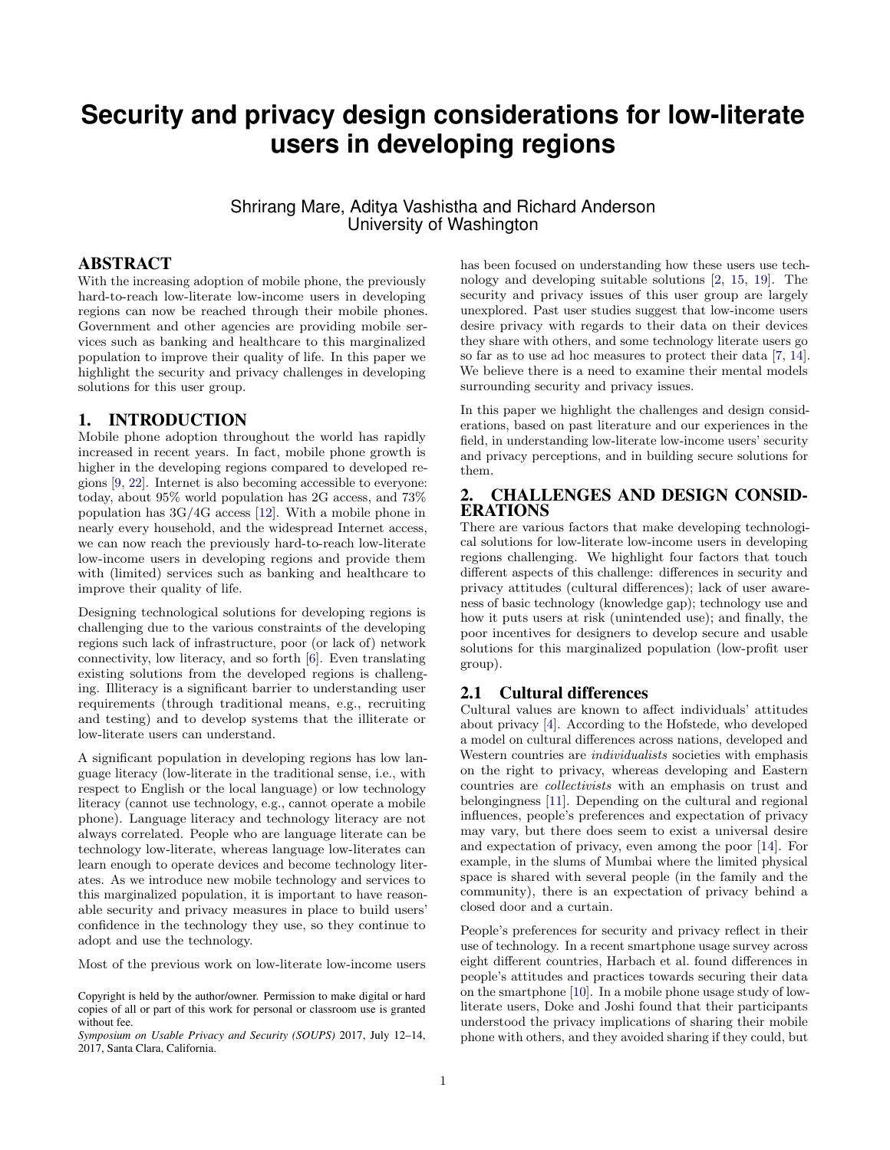# **Security and privacy design considerations for low-literate users in developing regions**

Shrirang Mare, Aditya Vashistha and Richard Anderson University of Washington

## ABSTRACT

With the increasing adoption of mobile phone, the previously hard-to-reach low-literate low-income users in developing regions can now be reached through their mobile phones. Government and other agencies are providing mobile services such as banking and healthcare to this marginalized population to improve their quality of life. In this paper we highlight the security and privacy challenges in developing solutions for this user group.

## 1. INTRODUCTION

Mobile phone adoption throughout the world has rapidly increased in recent years. In fact, mobile phone growth is higher in the developing regions compared to developed regions [\[9,](#page-2-0) [22\]](#page-3-0). Internet is also becoming accessible to everyone: today, about 95% world population has 2G access, and 73% population has 3G/4G access [\[12\]](#page-2-1). With a mobile phone in nearly every household, and the widespread Internet access, we can now reach the previously hard-to-reach low-literate low-income users in developing regions and provide them with (limited) services such as banking and healthcare to improve their quality of life.

Designing technological solutions for developing regions is challenging due to the various constraints of the developing regions such lack of infrastructure, poor (or lack of) network connectivity, low literacy, and so forth [\[6\]](#page-2-2). Even translating existing solutions from the developed regions is challenging. Illiteracy is a significant barrier to understanding user requirements (through traditional means, e.g., recruiting and testing) and to develop systems that the illiterate or low-literate users can understand.

A significant population in developing regions has low language literacy (low-literate in the traditional sense, i.e., with respect to English or the local language) or low technology literacy (cannot use technology, e.g., cannot operate a mobile phone). Language literacy and technology literacy are not always correlated. People who are language literate can be technology low-literate, whereas language low-literates can learn enough to operate devices and become technology literates. As we introduce new mobile technology and services to this marginalized population, it is important to have reasonable security and privacy measures in place to build users' confidence in the technology they use, so they continue to adopt and use the technology.

Most of the previous work on low-literate low-income users

Copyright is held by the author/owner. Permission to make digital or hard copies of all or part of this work for personal or classroom use is granted without fee.

*Symposium on Usable Privacy and Security (SOUPS)* 2017, July 12–14, 2017, Santa Clara, California.

has been focused on understanding how these users use technology and developing suitable solutions [\[2,](#page-2-3) [15,](#page-2-4) [19\]](#page-3-1). The security and privacy issues of this user group are largely unexplored. Past user studies suggest that low-income users desire privacy with regards to their data on their devices they share with others, and some technology literate users go so far as to use ad hoc measures to protect their data [\[7,](#page-2-5) [14\]](#page-2-6). We believe there is a need to examine their mental models surrounding security and privacy issues.

In this paper we highlight the challenges and design considerations, based on past literature and our experiences in the field, in understanding low-literate low-income users' security and privacy perceptions, and in building secure solutions for them.

## 2. CHALLENGES AND DESIGN CONSID-ERATIONS

There are various factors that make developing technological solutions for low-literate low-income users in developing regions challenging. We highlight four factors that touch different aspects of this challenge: differences in security and privacy attitudes (cultural differences); lack of user awareness of basic technology (knowledge gap); technology use and how it puts users at risk (unintended use); and finally, the poor incentives for designers to develop secure and usable solutions for this marginalized population (low-profit user group).

#### 2.1 Cultural differences

Cultural values are known to affect individuals' attitudes about privacy [\[4\]](#page-2-7). According to the Hofstede, who developed a model on cultural differences across nations, developed and Western countries are *individualists* societies with emphasis on the right to privacy, whereas developing and Eastern countries are *collectivists* with an emphasis on trust and belongingness [\[11\]](#page-2-8). Depending on the cultural and regional influences, people's preferences and expectation of privacy may vary, but there does seem to exist a universal desire and expectation of privacy, even among the poor [\[14\]](#page-2-6). For example, in the slums of Mumbai where the limited physical space is shared with several people (in the family and the community), there is an expectation of privacy behind a closed door and a curtain.

People's preferences for security and privacy reflect in their use of technology. In a recent smartphone usage survey across eight different countries, Harbach et al. found differences in people's attitudes and practices towards securing their data on the smartphone [\[10\]](#page-2-9). In a mobile phone usage study of lowliterate users, Doke and Joshi found that their participants understood the privacy implications of sharing their mobile phone with others, and they avoided sharing if they could, but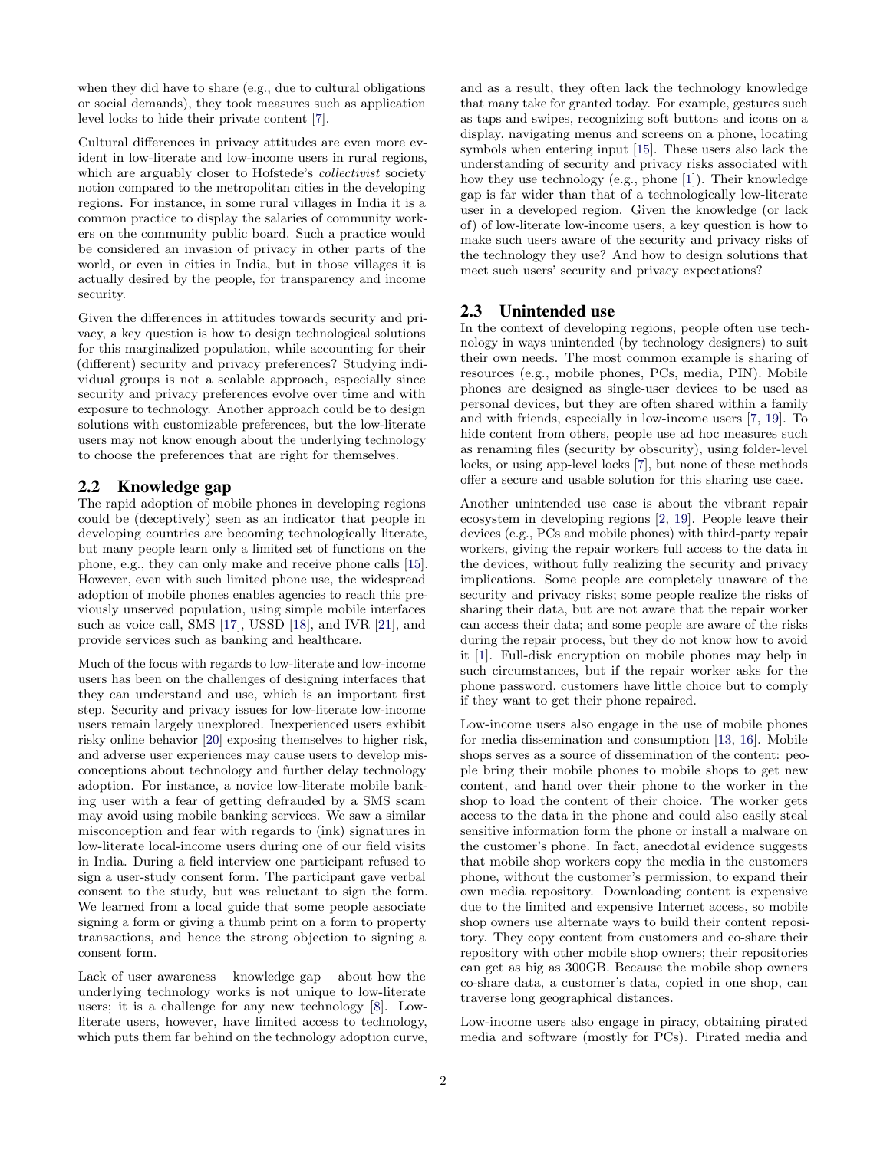when they did have to share (e.g., due to cultural obligations or social demands), they took measures such as application level locks to hide their private content [\[7\]](#page-2-5).

Cultural differences in privacy attitudes are even more evident in low-literate and low-income users in rural regions, which are arguably closer to Hofstede's *collectivist* society notion compared to the metropolitan cities in the developing regions. For instance, in some rural villages in India it is a common practice to display the salaries of community workers on the community public board. Such a practice would be considered an invasion of privacy in other parts of the world, or even in cities in India, but in those villages it is actually desired by the people, for transparency and income security.

Given the differences in attitudes towards security and privacy, a key question is how to design technological solutions for this marginalized population, while accounting for their (different) security and privacy preferences? Studying individual groups is not a scalable approach, especially since security and privacy preferences evolve over time and with exposure to technology. Another approach could be to design solutions with customizable preferences, but the low-literate users may not know enough about the underlying technology to choose the preferences that are right for themselves.

## 2.2 Knowledge gap

The rapid adoption of mobile phones in developing regions could be (deceptively) seen as an indicator that people in developing countries are becoming technologically literate, but many people learn only a limited set of functions on the phone, e.g., they can only make and receive phone calls [\[15\]](#page-2-4). However, even with such limited phone use, the widespread adoption of mobile phones enables agencies to reach this previously unserved population, using simple mobile interfaces such as voice call, SMS [\[17\]](#page-2-10), USSD [\[18\]](#page-2-11), and IVR [\[21\]](#page-3-2), and provide services such as banking and healthcare.

Much of the focus with regards to low-literate and low-income users has been on the challenges of designing interfaces that they can understand and use, which is an important first step. Security and privacy issues for low-literate low-income users remain largely unexplored. Inexperienced users exhibit risky online behavior [\[20\]](#page-3-3) exposing themselves to higher risk, and adverse user experiences may cause users to develop misconceptions about technology and further delay technology adoption. For instance, a novice low-literate mobile banking user with a fear of getting defrauded by a SMS scam may avoid using mobile banking services. We saw a similar misconception and fear with regards to (ink) signatures in low-literate local-income users during one of our field visits in India. During a field interview one participant refused to sign a user-study consent form. The participant gave verbal consent to the study, but was reluctant to sign the form. We learned from a local guide that some people associate signing a form or giving a thumb print on a form to property transactions, and hence the strong objection to signing a consent form.

Lack of user awareness – knowledge gap – about how the underlying technology works is not unique to low-literate users; it is a challenge for any new technology [\[8\]](#page-2-12). Lowliterate users, however, have limited access to technology, which puts them far behind on the technology adoption curve, and as a result, they often lack the technology knowledge that many take for granted today. For example, gestures such as taps and swipes, recognizing soft buttons and icons on a display, navigating menus and screens on a phone, locating symbols when entering input [\[15\]](#page-2-4). These users also lack the understanding of security and privacy risks associated with how they use technology (e.g., phone [\[1\]](#page-2-13)). Their knowledge gap is far wider than that of a technologically low-literate user in a developed region. Given the knowledge (or lack of) of low-literate low-income users, a key question is how to make such users aware of the security and privacy risks of the technology they use? And how to design solutions that meet such users' security and privacy expectations?

## 2.3 Unintended use

In the context of developing regions, people often use technology in ways unintended (by technology designers) to suit their own needs. The most common example is sharing of resources (e.g., mobile phones, PCs, media, PIN). Mobile phones are designed as single-user devices to be used as personal devices, but they are often shared within a family and with friends, especially in low-income users [\[7,](#page-2-5) [19\]](#page-3-1). To hide content from others, people use ad hoc measures such as renaming files (security by obscurity), using folder-level locks, or using app-level locks [\[7\]](#page-2-5), but none of these methods offer a secure and usable solution for this sharing use case.

Another unintended use case is about the vibrant repair ecosystem in developing regions [\[2,](#page-2-3) [19\]](#page-3-1). People leave their devices (e.g., PCs and mobile phones) with third-party repair workers, giving the repair workers full access to the data in the devices, without fully realizing the security and privacy implications. Some people are completely unaware of the security and privacy risks; some people realize the risks of sharing their data, but are not aware that the repair worker can access their data; and some people are aware of the risks during the repair process, but they do not know how to avoid it [\[1\]](#page-2-13). Full-disk encryption on mobile phones may help in such circumstances, but if the repair worker asks for the phone password, customers have little choice but to comply if they want to get their phone repaired.

Low-income users also engage in the use of mobile phones for media dissemination and consumption [\[13,](#page-2-14) [16\]](#page-2-15). Mobile shops serves as a source of dissemination of the content: people bring their mobile phones to mobile shops to get new content, and hand over their phone to the worker in the shop to load the content of their choice. The worker gets access to the data in the phone and could also easily steal sensitive information form the phone or install a malware on the customer's phone. In fact, anecdotal evidence suggests that mobile shop workers copy the media in the customers phone, without the customer's permission, to expand their own media repository. Downloading content is expensive due to the limited and expensive Internet access, so mobile shop owners use alternate ways to build their content repository. They copy content from customers and co-share their repository with other mobile shop owners; their repositories can get as big as 300GB. Because the mobile shop owners co-share data, a customer's data, copied in one shop, can traverse long geographical distances.

Low-income users also engage in piracy, obtaining pirated media and software (mostly for PCs). Pirated media and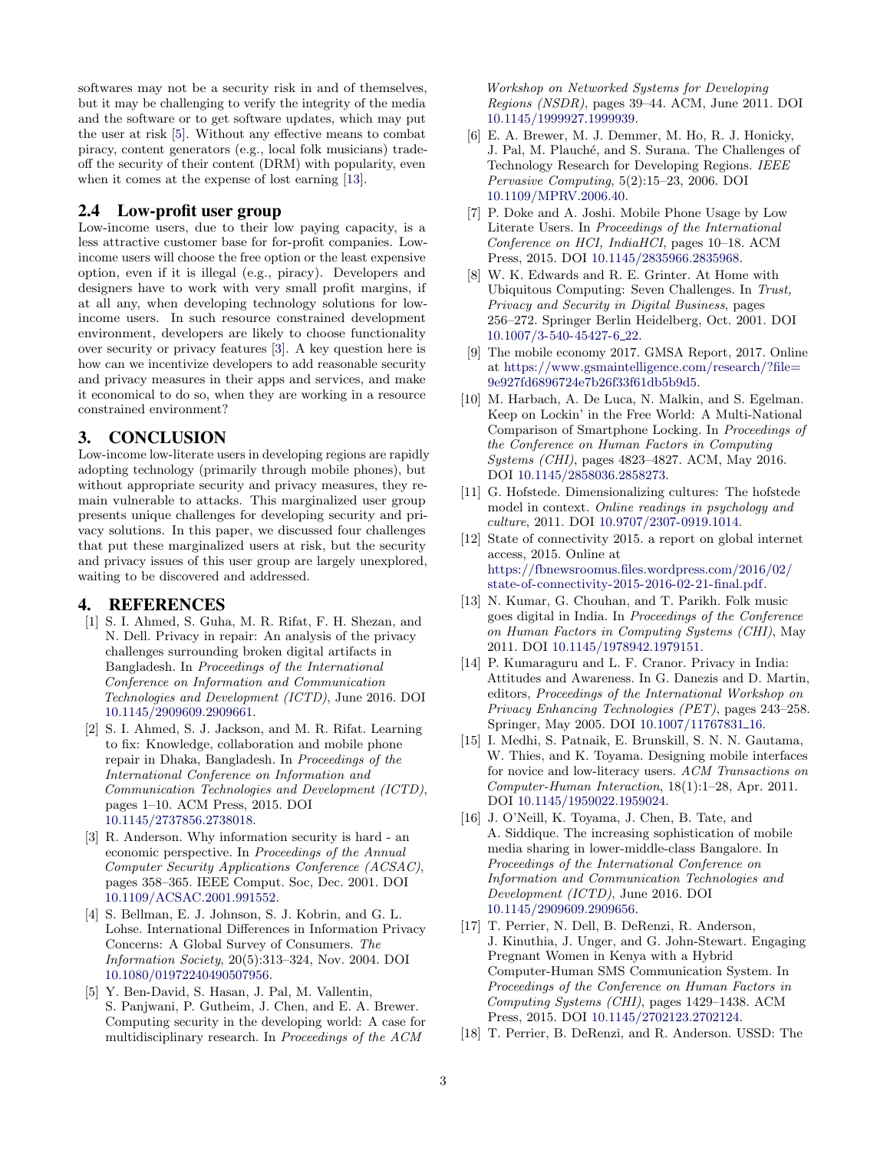softwares may not be a security risk in and of themselves, but it may be challenging to verify the integrity of the media and the software or to get software updates, which may put the user at risk  $[5]$ . Without any effective means to combat piracy, content generators (e.g., local folk musicians) tradeoff the security of their content (DRM) with popularity, even when it comes at the expense of lost earning [\[13\]](#page-2-14).

#### 2.4 Low-profit user group

Low-income users, due to their low paying capacity, is a less attractive customer base for for-profit companies. Lowincome users will choose the free option or the least expensive option, even if it is illegal (e.g., piracy). Developers and designers have to work with very small profit margins, if at all any, when developing technology solutions for lowincome users. In such resource constrained development environment, developers are likely to choose functionality over security or privacy features [\[3\]](#page-2-17). A key question here is how can we incentivize developers to add reasonable security and privacy measures in their apps and services, and make it economical to do so, when they are working in a resource constrained environment?

#### 3. CONCLUSION

Low-income low-literate users in developing regions are rapidly adopting technology (primarily through mobile phones), but without appropriate security and privacy measures, they remain vulnerable to attacks. This marginalized user group presents unique challenges for developing security and privacy solutions. In this paper, we discussed four challenges that put these marginalized users at risk, but the security and privacy issues of this user group are largely unexplored, waiting to be discovered and addressed.

#### 4. REFERENCES

- <span id="page-2-13"></span>[1] S. I. Ahmed, S. Guha, M. R. Rifat, F. H. Shezan, and N. Dell. Privacy in repair: An analysis of the privacy challenges surrounding broken digital artifacts in Bangladesh. In *Proceedings of the International Conference on Information and Communication Technologies and Development (ICTD)*, June 2016. DOI [10.1145/2909609.2909661.](http://dx.doi.org/10.1145/2909609.2909661)
- <span id="page-2-3"></span>[2] S. I. Ahmed, S. J. Jackson, and M. R. Rifat. Learning to fix: Knowledge, collaboration and mobile phone repair in Dhaka, Bangladesh. In *Proceedings of the International Conference on Information and Communication Technologies and Development (ICTD)*, pages 1–10. ACM Press, 2015. DOI [10.1145/2737856.2738018.](http://dx.doi.org/10.1145/2737856.2738018)
- <span id="page-2-17"></span>[3] R. Anderson. Why information security is hard - an economic perspective. In *Proceedings of the Annual Computer Security Applications Conference (ACSAC)*, pages 358–365. IEEE Comput. Soc, Dec. 2001. DOI [10.1109/ACSAC.2001.991552.](http://dx.doi.org/10.1109/ACSAC.2001.991552)
- <span id="page-2-7"></span>[4] S. Bellman, E. J. Johnson, S. J. Kobrin, and G. L. Lohse. International Differences in Information Privacy Concerns: A Global Survey of Consumers. *The Information Society*, 20(5):313–324, Nov. 2004. DOI [10.1080/01972240490507956.](http://dx.doi.org/10.1080/01972240490507956)
- <span id="page-2-16"></span>[5] Y. Ben-David, S. Hasan, J. Pal, M. Vallentin, S. Panjwani, P. Gutheim, J. Chen, and E. A. Brewer. Computing security in the developing world: A case for multidisciplinary research. In *Proceedings of the ACM*

*Workshop on Networked Systems for Developing Regions (NSDR)*, pages 39–44. ACM, June 2011. DOI [10.1145/1999927.1999939.](http://dx.doi.org/10.1145/1999927.1999939)

- <span id="page-2-2"></span>[6] E. A. Brewer, M. J. Demmer, M. Ho, R. J. Honicky, J. Pal, M. Plauché, and S. Surana. The Challenges of Technology Research for Developing Regions. *IEEE Pervasive Computing*, 5(2):15–23, 2006. DOI [10.1109/MPRV.2006.40.](http://dx.doi.org/10.1109/MPRV.2006.40)
- <span id="page-2-5"></span>[7] P. Doke and A. Joshi. Mobile Phone Usage by Low Literate Users. In *Proceedings of the International Conference on HCI, IndiaHCI*, pages 10–18. ACM Press, 2015. DOI [10.1145/2835966.2835968.](http://dx.doi.org/10.1145/2835966.2835968)
- <span id="page-2-12"></span>[8] W. K. Edwards and R. E. Grinter. At Home with Ubiquitous Computing: Seven Challenges. In *Trust, Privacy and Security in Digital Business*, pages 256–272. Springer Berlin Heidelberg, Oct. 2001. DOI [10.1007/3-540-45427-6](http://dx.doi.org/10.1007/3-540-45427-6_22) 22.
- <span id="page-2-0"></span>[9] The mobile economy 2017. GMSA Report, 2017. Online at [https://www.gsmaintelligence.com/research/?file=](https://www.gsmaintelligence.com/research/?file=9e927fd6896724e7b26f33f61db5b9d5) [9e927fd6896724e7b26f33f61db5b9d5.](https://www.gsmaintelligence.com/research/?file=9e927fd6896724e7b26f33f61db5b9d5)
- <span id="page-2-9"></span>[10] M. Harbach, A. De Luca, N. Malkin, and S. Egelman. Keep on Lockin' in the Free World: A Multi-National Comparison of Smartphone Locking. In *Proceedings of the Conference on Human Factors in Computing Systems (CHI)*, pages 4823–4827. ACM, May 2016. DOI [10.1145/2858036.2858273.](http://dx.doi.org/10.1145/2858036.2858273)
- <span id="page-2-8"></span>[11] G. Hofstede. Dimensionalizing cultures: The hofstede model in context. *Online readings in psychology and culture*, 2011. DOI [10.9707/2307-0919.1014.](http://dx.doi.org/10.9707/2307-0919.1014)
- <span id="page-2-1"></span>[12] State of connectivity 2015. a report on global internet access, 2015. Online at [https://fbnewsroomus.files.wordpress.com/2016/02/](https://fbnewsroomus.files.wordpress.com/2016/02/state-of-connectivity-2015-2016-02-21-final.pdf) [state-of-connectivity-2015-2016-02-21-final.pdf.](https://fbnewsroomus.files.wordpress.com/2016/02/state-of-connectivity-2015-2016-02-21-final.pdf)
- <span id="page-2-14"></span>[13] N. Kumar, G. Chouhan, and T. Parikh. Folk music goes digital in India. In *Proceedings of the Conference on Human Factors in Computing Systems (CHI)*, May 2011. DOI [10.1145/1978942.1979151.](http://dx.doi.org/10.1145/1978942.1979151)
- <span id="page-2-6"></span>[14] P. Kumaraguru and L. F. Cranor. Privacy in India: Attitudes and Awareness. In G. Danezis and D. Martin, editors, *Proceedings of the International Workshop on Privacy Enhancing Technologies (PET)*, pages 243–258. Springer, May 2005. DOI [10.1007/11767831](http://dx.doi.org/10.1007/11767831_16)<sub>-16</sub>.
- <span id="page-2-4"></span>[15] I. Medhi, S. Patnaik, E. Brunskill, S. N. N. Gautama, W. Thies, and K. Toyama. Designing mobile interfaces for novice and low-literacy users. *ACM Transactions on Computer-Human Interaction*, 18(1):1–28, Apr. 2011. DOI [10.1145/1959022.1959024.](http://dx.doi.org/10.1145/1959022.1959024)
- <span id="page-2-15"></span>[16] J. O'Neill, K. Toyama, J. Chen, B. Tate, and A. Siddique. The increasing sophistication of mobile media sharing in lower-middle-class Bangalore. In *Proceedings of the International Conference on Information and Communication Technologies and Development (ICTD)*, June 2016. DOI [10.1145/2909609.2909656.](http://dx.doi.org/10.1145/2909609.2909656)
- <span id="page-2-10"></span>[17] T. Perrier, N. Dell, B. DeRenzi, R. Anderson, J. Kinuthia, J. Unger, and G. John-Stewart. Engaging Pregnant Women in Kenya with a Hybrid Computer-Human SMS Communication System. In *Proceedings of the Conference on Human Factors in Computing Systems (CHI)*, pages 1429–1438. ACM Press, 2015. DOI [10.1145/2702123.2702124.](http://dx.doi.org/10.1145/2702123.2702124)
- <span id="page-2-11"></span>[18] T. Perrier, B. DeRenzi, and R. Anderson. USSD: The